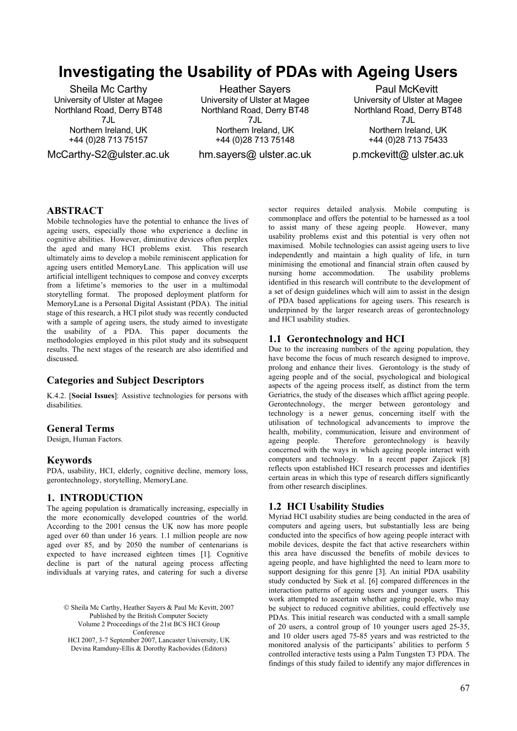# **Investigating the Usability of PDAs with Ageing Users**

Sheila Mc Carthy University of Ulster at Magee Northland Road, Derry BT48 7JL Northern Ireland, UK +44 (0)28 713 75157

McCarthy-S2@ulster.ac.uk

Heather Sayers University of Ulster at Magee Northland Road, Derry BT48 7JL Northern Ireland, UK +44 (0)28 713 75148

hm.sayers@ ulster.ac.uk

Paul McKevitt University of Ulster at Magee Northland Road, Derry BT48 7JL Northern Ireland, UK +44 (0)28 713 75433

p.mckevitt@ ulster.ac.uk

## **ABSTRACT**

Mobile technologies have the potential to enhance the lives of ageing users, especially those who experience a decline in cognitive abilities. However, diminutive devices often perplex the aged and many HCI problems exist. This research ultimately aims to develop a mobile reminiscent application for ageing users entitled MemoryLane. This application will use artificial intelligent techniques to compose and convey excerpts from a lifetime's memories to the user in a multimodal storytelling format. The proposed deployment platform for MemoryLane is a Personal Digital Assistant (PDA). The initial stage of this research, a HCI pilot study was recently conducted with a sample of ageing users, the study aimed to investigate the usability of a PDA. This paper documents the methodologies employed in this pilot study and its subsequent results. The next stages of the research are also identified and discussed.

#### **Categories and Subject Descriptors**

K.4.2. [**Social Issues**]: Assistive technologies for persons with disabilities.

#### **General Terms**

Design, Human Factors.

#### **Keywords**

PDA, usability, HCI, elderly, cognitive decline, memory loss, gerontechnology, storytelling, MemoryLane.

# **1. INTRODUCTION**

The ageing population is dramatically increasing, especially in the more economically developed countries of the world. According to the 2001 census the UK now has more people aged over 60 than under 16 years. 1.1 million people are now aged over 85, and by 2050 the number of centenarians is expected to have increased eighteen times [1]. Cognitive decline is part of the natural ageing process affecting individuals at varying rates, and catering for such a diverse

© Sheila Mc Carthy, Heather Sayers & Paul Mc Kevitt, 2007 Published by the British Computer Society Volume 2 Proceedings of the 21st BCS HCI Group Conference HCI 2007, 3-7 September 2007, Lancaster University, UK Devina Ramduny-Ellis & Dorothy Rachovides (Editors)

sector requires detailed analysis. Mobile computing is commonplace and offers the potential to be harnessed as a tool to assist many of these ageing people. However, many usability problems exist and this potential is very often not maximised. Mobile technologies can assist ageing users to live independently and maintain a high quality of life, in turn minimising the emotional and financial strain often caused by nursing home accommodation. The usability problems identified in this research will contribute to the development of a set of design guidelines which will aim to assist in the design of PDA based applications for ageing users. This research is underpinned by the larger research areas of gerontechnology and HCI usability studies.

## **1.1 Gerontechnology and HCI**

Due to the increasing numbers of the ageing population, they have become the focus of much research designed to improve, prolong and enhance their lives. Gerontology is the study of ageing people and of the social, psychological and biological aspects of the ageing process itself, as distinct from the term Geriatrics, the study of the diseases which afflict ageing people. Gerontechnology, the merger between gerontology and technology is a newer genus, concerning itself with the utilisation of technological advancements to improve the health, mobility, communication, leisure and environment of ageing people. Therefore gerontechnology is heavily concerned with the ways in which ageing people interact with computers and technology. In a recent paper Zajicek [8] reflects upon established HCI research processes and identifies certain areas in which this type of research differs significantly from other research disciplines.

## **1.2 HCI Usability Studies**

Myriad HCI usability studies are being conducted in the area of computers and ageing users, but substantially less are being conducted into the specifics of how ageing people interact with mobile devices, despite the fact that active researchers within this area have discussed the benefits of mobile devices to ageing people, and have highlighted the need to learn more to support designing for this genre [3]. An initial PDA usability study conducted by Siek et al. [6] compared differences in the interaction patterns of ageing users and younger users. This work attempted to ascertain whether ageing people, who may be subject to reduced cognitive abilities, could effectively use PDAs. This initial research was conducted with a small sample of 20 users, a control group of 10 younger users aged 25-35, and 10 older users aged 75-85 years and was restricted to the monitored analysis of the participants' abilities to perform 5 controlled interactive tests using a Palm Tungsten T3 PDA. The findings of this study failed to identify any major differences in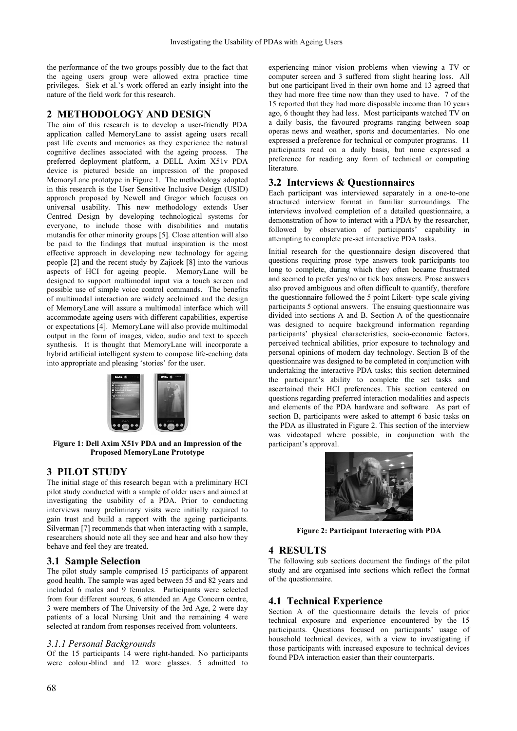the performance of the two groups possibly due to the fact that the ageing users group were allowed extra practice time privileges. Siek et al.'s work offered an early insight into the nature of the field work for this research.

# **2 METHODOLOGY AND DESIGN**

The aim of this research is to develop a user-friendly PDA application called MemoryLane to assist ageing users recall past life events and memories as they experience the natural cognitive declines associated with the ageing process. The preferred deployment platform, a DELL Axim X51v PDA device is pictured beside an impression of the proposed MemoryLane prototype in Figure 1. The methodology adopted in this research is the User Sensitive Inclusive Design (USID) approach proposed by Newell and Gregor which focuses on universal usability. This new methodology extends User Centred Design by developing technological systems for everyone, to include those with disabilities and mutatis mutandis for other minority groups [5]. Close attention will also be paid to the findings that mutual inspiration is the most effective approach in developing new technology for ageing people [2] and the recent study by Zajicek [8] into the various aspects of HCI for ageing people. MemoryLane will be designed to support multimodal input via a touch screen and possible use of simple voice control commands. The benefits of multimodal interaction are widely acclaimed and the design of MemoryLane will assure a multimodal interface which will accommodate ageing users with different capabilities, expertise or expectations [4]. MemoryLane will also provide multimodal output in the form of images, video, audio and text to speech synthesis. It is thought that MemoryLane will incorporate a hybrid artificial intelligent system to compose life-caching data into appropriate and pleasing 'stories' for the user.



**Figure 1: Dell Axim X51v PDA and an Impression of the Proposed MemoryLane Prototype** 

# **3 PILOT STUDY**

The initial stage of this research began with a preliminary HCI pilot study conducted with a sample of older users and aimed at investigating the usability of a PDA. Prior to conducting interviews many preliminary visits were initially required to gain trust and build a rapport with the ageing participants. Silverman [7] recommends that when interacting with a sample, researchers should note all they see and hear and also how they behave and feel they are treated.

## **3.1 Sample Selection**

The pilot study sample comprised 15 participants of apparent good health. The sample was aged between 55 and 82 years and included 6 males and 9 females. Participants were selected from four different sources, 6 attended an Age Concern centre, 3 were members of The University of the 3rd Age, 2 were day patients of a local Nursing Unit and the remaining 4 were selected at random from responses received from volunteers.

## *3.1.1 Personal Backgrounds*

Of the 15 participants  $14$  were right-handed. No participants were colour-blind and 12 wore glasses. 5 admitted to

experiencing minor vision problems when viewing a TV or computer screen and 3 suffered from slight hearing loss. All but one participant lived in their own home and 13 agreed that they had more free time now than they used to have. 7 of the 15 reported that they had more disposable income than 10 years ago, 6 thought they had less. Most participants watched TV on a daily basis, the favoured programs ranging between soap operas news and weather, sports and documentaries. No one expressed a preference for technical or computer programs. 11 participants read on a daily basis, but none expressed a preference for reading any form of technical or computing literature.

# **3.2 Interviews & Questionnaires**

Each participant was interviewed separately in a one-to-one structured interview format in familiar surroundings. The interviews involved completion of a detailed questionnaire, a demonstration of how to interact with a PDA by the researcher, followed by observation of participants' capability in attempting to complete pre-set interactive PDA tasks.

Initial research for the questionnaire design discovered that questions requiring prose type answers took participants too long to complete, during which they often became frustrated and seemed to prefer yes/no or tick box answers. Prose answers also proved ambiguous and often difficult to quantify, therefore the questionnaire followed the 5 point Likert- type scale giving participants 5 optional answers. The ensuing questionnaire was divided into sections A and B. Section A of the questionnaire was designed to acquire background information regarding participants' physical characteristics, socio-economic factors, perceived technical abilities, prior exposure to technology and personal opinions of modern day technology. Section B of the questionnaire was designed to be completed in conjunction with undertaking the interactive PDA tasks; this section determined the participant's ability to complete the set tasks and ascertained their HCI preferences. This section centered on questions regarding preferred interaction modalities and aspects and elements of the PDA hardware and software. As part of section B, participants were asked to attempt 6 basic tasks on the PDA as illustrated in Figure 2. This section of the interview was videotaped where possible, in conjunction with the participant's approval.



**Figure 2: Participant Interacting with PDA** 

# **4 RESULTS**

The following sub sections document the findings of the pilot study and are organised into sections which reflect the format of the questionnaire.

# **4.1 Technical Experience**

Section A of the questionnaire details the levels of prior technical exposure and experience encountered by the 15 participants. Questions focused on participants' usage of household technical devices, with a view to investigating if those participants with increased exposure to technical devices found PDA interaction easier than their counterparts.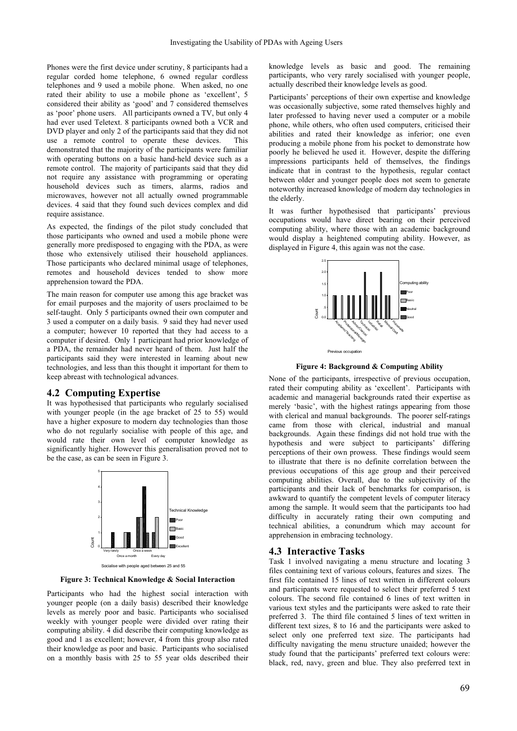Phones were the first device under scrutiny, 8 participants had a regular corded home telephone, 6 owned regular cordless telephones and 9 used a mobile phone. When asked, no one rated their ability to use a mobile phone as 'excellent', 5 considered their ability as 'good' and 7 considered themselves as 'poor' phone users. All participants owned a TV, but only 4 had ever used Teletext. 8 participants owned both a VCR and DVD player and only 2 of the participants said that they did not use a remote control to operate these devices. This demonstrated that the majority of the participants were familiar with operating buttons on a basic hand-held device such as a remote control. The majority of participants said that they did not require any assistance with programming or operating household devices such as timers, alarms, radios and microwaves, however not all actually owned programmable devices. 4 said that they found such devices complex and did require assistance.

As expected, the findings of the pilot study concluded that those participants who owned and used a mobile phone were generally more predisposed to engaging with the PDA, as were those who extensively utilised their household appliances. Those participants who declared minimal usage of telephones, remotes and household devices tended to show more apprehension toward the PDA.

The main reason for computer use among this age bracket was for email purposes and the majority of users proclaimed to be self-taught. Only 5 participants owned their own computer and 3 used a computer on a daily basis. 9 said they had never used a computer; however 10 reported that they had access to a computer if desired. Only 1 participant had prior knowledge of a PDA, the remainder had never heard of them. Just half the participants said they were interested in learning about new technologies, and less than this thought it important for them to keep abreast with technological advances.

#### **4.2 Computing Expertise**

It was hypothesised that participants who regularly socialised with younger people (in the age bracket of 25 to 55) would have a higher exposure to modern day technologies than those who do not regularly socialise with people of this age, and would rate their own level of computer knowledge as significantly higher. However this generalisation proved not to be the case, as can be seen in Figure 3.



**Figure 3: Technical Knowledge & Social Interaction** 

Participants who had the highest social interaction with younger people (on a daily basis) described their knowledge levels as merely poor and basic. Participants who socialised weekly with younger people were divided over rating their computing ability. 4 did describe their computing knowledge as good and 1 as excellent; however, 4 from this group also rated their knowledge as poor and basic. Participants who socialised on a monthly basis with 25 to 55 year olds described their

knowledge levels as basic and good. The remaining participants, who very rarely socialised with younger people, actually described their knowledge levels as good.

Participants' perceptions of their own expertise and knowledge was occasionally subjective, some rated themselves highly and later professed to having never used a computer or a mobile phone, while others, who often used computers, criticised their abilities and rated their knowledge as inferior; one even producing a mobile phone from his pocket to demonstrate how poorly he believed he used it. However, despite the differing impressions participants held of themselves, the findings indicate that in contrast to the hypothesis, regular contact between older and younger people does not seem to generate noteworthy increased knowledge of modern day technologies in the elderly.

It was further hypothesised that participants' previous occupations would have direct bearing on their perceived computing ability, where those with an academic background would display a heightened computing ability. However, as displayed in Figure 4, this again was not the case.



**Figure 4: Background & Computing Ability** 

None of the participants, irrespective of previous occupation, rated their computing ability as 'excellent'. Participants with academic and managerial backgrounds rated their expertise as merely 'basic', with the highest ratings appearing from those with clerical and manual backgrounds. The poorer self-ratings came from those with clerical, industrial and manual backgrounds. Again these findings did not hold true with the hypothesis and were subject to participants' differing perceptions of their own prowess. These findings would seem to illustrate that there is no definite correlation between the previous occupations of this age group and their perceived computing abilities. Overall, due to the subjectivity of the participants and their lack of benchmarks for comparison, is awkward to quantify the competent levels of computer literacy among the sample. It would seem that the participants too had difficulty in accurately rating their own computing and technical abilities, a conundrum which may account for apprehension in embracing technology.

## **4.3 Interactive Tasks**

Task 1 involved navigating a menu structure and locating 3 files containing text of various colours, features and sizes. The first file contained 15 lines of text written in different colours and participants were requested to select their preferred 5 text colours. The second file contained 6 lines of text written in various text styles and the participants were asked to rate their preferred 3. The third file contained 5 lines of text written in different text sizes, 8 to 16 and the participants were asked to select only one preferred text size. The participants had difficulty navigating the menu structure unaided; however the study found that the participants' preferred text colours were: black, red, navy, green and blue. They also preferred text in